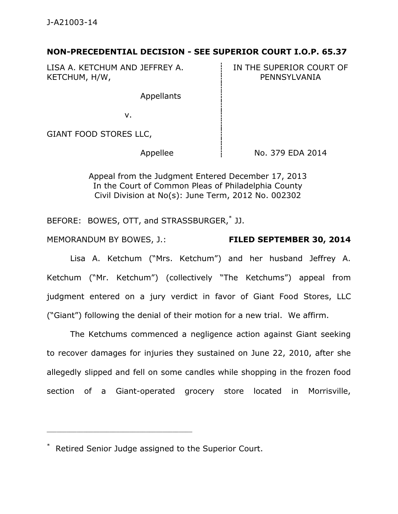## **NON-PRECEDENTIAL DECISION - SEE SUPERIOR COURT I.O.P. 65.37**

LISA A. KETCHUM AND JEFFREY A. KETCHUM, H/W,

IN THE SUPERIOR COURT OF PENNSYLVANIA

Appellants

v.

GIANT FOOD STORES LLC,

Appellee  $\parallel$  No. 379 EDA 2014

Appeal from the Judgment Entered December 17, 2013 In the Court of Common Pleas of Philadelphia County Civil Division at No(s): June Term, 2012 No. 002302

BEFORE: BOWES, OTT, and STRASSBURGER,\* JJ.

MEMORANDUM BY BOWES, J.: **FILED SEPTEMBER 30, 2014** 

Lisa A. Ketchum ("Mrs. Ketchum") and her husband Jeffrey A. Ketchum ("Mr. Ketchum") (collectively "The Ketchums") appeal from judgment entered on a jury verdict in favor of Giant Food Stores, LLC ("Giant") following the denial of their motion for a new trial. We affirm.

 The Ketchums commenced a negligence action against Giant seeking to recover damages for injuries they sustained on June 22, 2010, after she allegedly slipped and fell on some candles while shopping in the frozen food section of a Giant-operated grocery store located in Morrisville,

\* Retired Senior Judge assigned to the Superior Court.

\_\_\_\_\_\_\_\_\_\_\_\_\_\_\_\_\_\_\_\_\_\_\_\_\_\_\_\_\_\_\_\_\_\_\_\_\_\_\_\_\_\_\_\_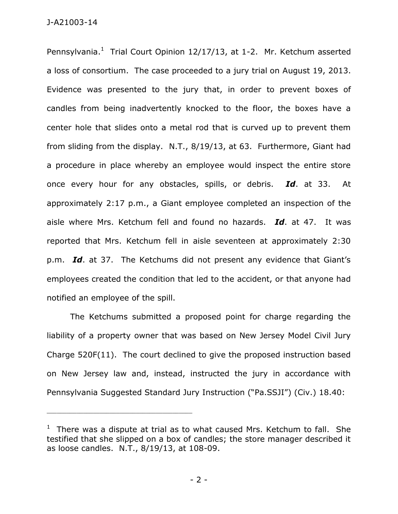Pennsylvania. $^1$  Trial Court Opinion 12/17/13, at 1-2. Mr. Ketchum asserted a loss of consortium. The case proceeded to a jury trial on August 19, 2013. Evidence was presented to the jury that, in order to prevent boxes of candles from being inadvertently knocked to the floor, the boxes have a center hole that slides onto a metal rod that is curved up to prevent them from sliding from the display. N.T., 8/19/13, at 63. Furthermore, Giant had a procedure in place whereby an employee would inspect the entire store once every hour for any obstacles, spills, or debris. *Id*. at 33. At approximately 2:17 p.m., a Giant employee completed an inspection of the aisle where Mrs. Ketchum fell and found no hazards. *Id*. at 47. It was reported that Mrs. Ketchum fell in aisle seventeen at approximately 2:30 p.m. *Id*. at 37. The Ketchums did not present any evidence that Giant's employees created the condition that led to the accident, or that anyone had notified an employee of the spill.

The Ketchums submitted a proposed point for charge regarding the liability of a property owner that was based on New Jersey Model Civil Jury Charge 520F(11). The court declined to give the proposed instruction based on New Jersey law and, instead, instructed the jury in accordance with Pennsylvania Suggested Standard Jury Instruction ("Pa.SSJI") (Civ.) 18.40:

\_\_\_\_\_\_\_\_\_\_\_\_\_\_\_\_\_\_\_\_\_\_\_\_\_\_\_\_\_\_\_\_\_\_\_\_\_\_\_\_\_\_\_\_

 $1$  There was a dispute at trial as to what caused Mrs. Ketchum to fall. She testified that she slipped on a box of candles; the store manager described it as loose candles. N.T., 8/19/13, at 108-09.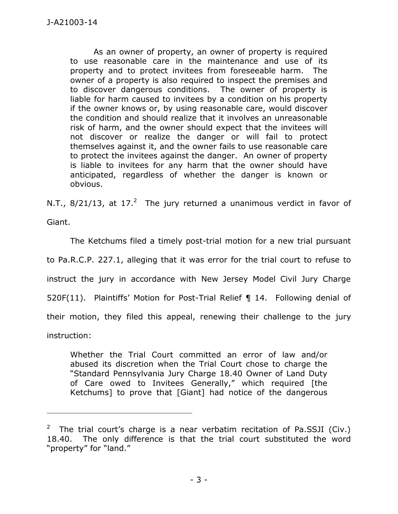As an owner of property, an owner of property is required to use reasonable care in the maintenance and use of its property and to protect invitees from foreseeable harm. The owner of a property is also required to inspect the premises and to discover dangerous conditions. The owner of property is liable for harm caused to invitees by a condition on his property if the owner knows or, by using reasonable care, would discover the condition and should realize that it involves an unreasonable risk of harm, and the owner should expect that the invitees will not discover or realize the danger or will fail to protect themselves against it, and the owner fails to use reasonable care to protect the invitees against the danger. An owner of property is liable to invitees for any harm that the owner should have anticipated, regardless of whether the danger is known or obvious.

N.T.,  $8/21/13$ , at  $17.^2$  The jury returned a unanimous verdict in favor of

Giant.

 The Ketchums filed a timely post-trial motion for a new trial pursuant to Pa.R.C.P. 227.1, alleging that it was error for the trial court to refuse to instruct the jury in accordance with New Jersey Model Civil Jury Charge 520F(11). Plaintiffs' Motion for Post-Trial Relief ¶ 14. Following denial of their motion, they filed this appeal, renewing their challenge to the jury instruction:

Whether the Trial Court committed an error of law and/or abused its discretion when the Trial Court chose to charge the "Standard Pennsylvania Jury Charge 18.40 Owner of Land Duty of Care owed to Invitees Generally," which required [the Ketchums] to prove that [Giant] had notice of the dangerous

\_\_\_\_\_\_\_\_\_\_\_\_\_\_\_\_\_\_\_\_\_\_\_\_\_\_\_\_\_\_\_\_\_\_\_\_\_\_\_\_\_\_\_\_

<sup>&</sup>lt;sup>2</sup> The trial court's charge is a near verbatim recitation of Pa.SSJI (Civ.) 18.40. The only difference is that the trial court substituted the word "property" for "land."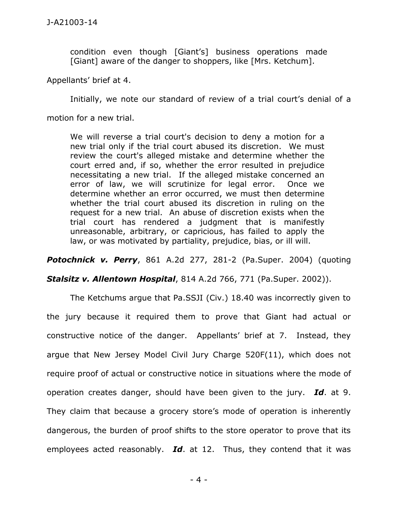condition even though [Giant's] business operations made [Giant] aware of the danger to shoppers, like [Mrs. Ketchum].

Appellants' brief at 4.

Initially, we note our standard of review of a trial court's denial of a

motion for a new trial.

We will reverse a trial court's decision to deny a motion for a new trial only if the trial court abused its discretion. We must review the court's alleged mistake and determine whether the court erred and, if so, whether the error resulted in prejudice necessitating a new trial. If the alleged mistake concerned an error of law, we will scrutinize for legal error. Once we determine whether an error occurred, we must then determine whether the trial court abused its discretion in ruling on the request for a new trial. An abuse of discretion exists when the trial court has rendered a judgment that is manifestly unreasonable, arbitrary, or capricious, has failed to apply the law, or was motivated by partiality, prejudice, bias, or ill will.

*Potochnick v. Perry*, 861 A.2d 277, 281-2 (Pa.Super. 2004) (quoting

*Stalsitz v. Allentown Hospital*, 814 A.2d 766, 771 (Pa.Super. 2002)).

 The Ketchums argue that Pa.SSJI (Civ.) 18.40 was incorrectly given to the jury because it required them to prove that Giant had actual or constructive notice of the danger. Appellants' brief at 7. Instead, they argue that New Jersey Model Civil Jury Charge 520F(11), which does not require proof of actual or constructive notice in situations where the mode of operation creates danger, should have been given to the jury. *Id*. at 9. They claim that because a grocery store's mode of operation is inherently dangerous, the burden of proof shifts to the store operator to prove that its employees acted reasonably. *Id*. at 12. Thus, they contend that it was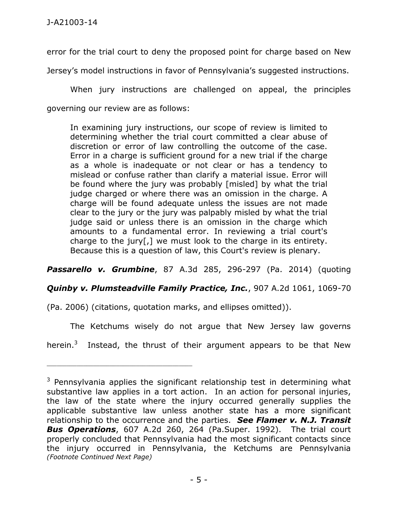error for the trial court to deny the proposed point for charge based on New

Jersey's model instructions in favor of Pennsylvania's suggested instructions.

When jury instructions are challenged on appeal, the principles governing our review are as follows:

In examining jury instructions, our scope of review is limited to determining whether the trial court committed a clear abuse of discretion or error of law controlling the outcome of the case. Error in a charge is sufficient ground for a new trial if the charge as a whole is inadequate or not clear or has a tendency to mislead or confuse rather than clarify a material issue. Error will be found where the jury was probably [misled] by what the trial judge charged or where there was an omission in the charge. A charge will be found adequate unless the issues are not made clear to the jury or the jury was palpably misled by what the trial judge said or unless there is an omission in the charge which amounts to a fundamental error. In reviewing a trial court's charge to the jury[,] we must look to the charge in its entirety. Because this is a question of law, this Court's review is plenary.

*Passarello v. Grumbine*, 87 A.3d 285, 296-297 (Pa. 2014) (quoting

*Quinby v. Plumsteadville Family Practice, Inc.*, 907 A.2d 1061, 1069-70

(Pa. 2006) (citations, quotation marks, and ellipses omitted)).

\_\_\_\_\_\_\_\_\_\_\_\_\_\_\_\_\_\_\_\_\_\_\_\_\_\_\_\_\_\_\_\_\_\_\_\_\_\_\_\_\_\_\_\_

The Ketchums wisely do not argue that New Jersey law governs

herein.<sup>3</sup> Instead, the thrust of their argument appears to be that New

 $3$  Pennsylvania applies the significant relationship test in determining what substantive law applies in a tort action. In an action for personal injuries, the law of the state where the injury occurred generally supplies the applicable substantive law unless another state has a more significant relationship to the occurrence and the parties. *See Flamer v. N.J. Transit Bus Operations*, 607 A.2d 260, 264 (Pa.Super. 1992). The trial court properly concluded that Pennsylvania had the most significant contacts since the injury occurred in Pennsylvania, the Ketchums are Pennsylvania *(Footnote Continued Next Page)*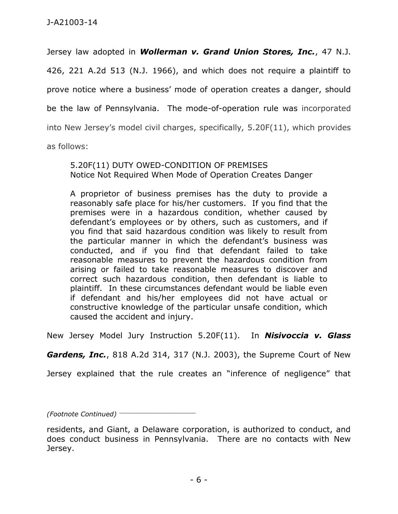Jersey law adopted in *Wollerman v. Grand Union Stores, Inc.*, 47 N.J. 426, 221 A.2d 513 (N.J. 1966), and which does not require a plaintiff to prove notice where a business' mode of operation creates a danger, should be the law of Pennsylvania. The mode-of-operation rule was incorporated into New Jersey's model civil charges, specifically*,* 5.20F(11), which provides

as follows:

## 5.20F(11) DUTY OWED-CONDITION OF PREMISES Notice Not Required When Mode of Operation Creates Danger

A proprietor of business premises has the duty to provide a reasonably safe place for his/her customers. If you find that the premises were in a hazardous condition, whether caused by defendant's employees or by others, such as customers, and if you find that said hazardous condition was likely to result from the particular manner in which the defendant's business was conducted, and if you find that defendant failed to take reasonable measures to prevent the hazardous condition from arising or failed to take reasonable measures to discover and correct such hazardous condition, then defendant is liable to plaintiff. In these circumstances defendant would be liable even if defendant and his/her employees did not have actual or constructive knowledge of the particular unsafe condition, which caused the accident and injury.

New Jersey Model Jury Instruction 5.20F(11). In *Nisivoccia v. Glass* 

*Gardens, Inc.*, 818 A.2d 314, 317 (N.J. 2003), the Supreme Court of New

Jersey explained that the rule creates an "inference of negligence" that

*(Footnote Continued)* \_\_\_\_\_\_\_\_\_\_\_\_\_\_\_\_\_\_\_\_\_\_\_

residents, and Giant, a Delaware corporation, is authorized to conduct, and does conduct business in Pennsylvania. There are no contacts with New Jersey.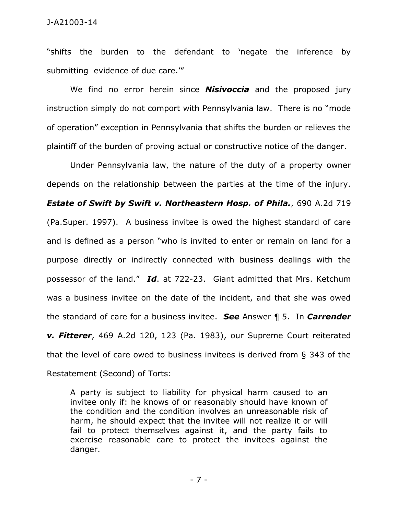## J-A21003-14

"shifts the burden to the defendant to 'negate the inference by submitting evidence of due care.'"

We find no error herein since *Nisivoccia* and the proposed jury instruction simply do not comport with Pennsylvania law. There is no "mode of operation" exception in Pennsylvania that shifts the burden or relieves the plaintiff of the burden of proving actual or constructive notice of the danger.

Under Pennsylvania law, the nature of the duty of a property owner depends on the relationship between the parties at the time of the injury. *Estate of Swift by Swift v. Northeastern Hosp. of Phila.*, 690 A.2d 719 (Pa.Super. 1997). A business invitee is owed the highest standard of care and is defined as a person "who is invited to enter or remain on land for a purpose directly or indirectly connected with business dealings with the possessor of the land." *Id*. at 722-23. Giant admitted that Mrs. Ketchum was a business invitee on the date of the incident, and that she was owed the standard of care for a business invitee. *See* Answer ¶ 5. In *Carrender v. Fitterer*, 469 A.2d 120, 123 (Pa. 1983), our Supreme Court reiterated that the level of care owed to business invitees is derived from § 343 of the Restatement (Second) of Torts:

A party is subject to liability for physical harm caused to an invitee only if: he knows of or reasonably should have known of the condition and the condition involves an unreasonable risk of harm, he should expect that the invitee will not realize it or will fail to protect themselves against it, and the party fails to exercise reasonable care to protect the invitees against the danger.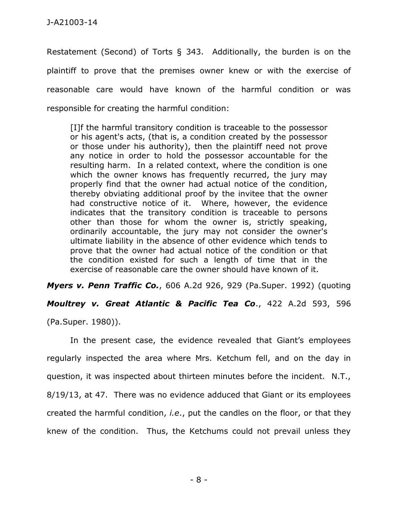Restatement (Second) of Torts § 343. Additionally, the burden is on the plaintiff to prove that the premises owner knew or with the exercise of reasonable care would have known of the harmful condition or was responsible for creating the harmful condition:

[I]f the harmful transitory condition is traceable to the possessor or his agent's acts, (that is, a condition created by the possessor or those under his authority), then the plaintiff need not prove any notice in order to hold the possessor accountable for the resulting harm. In a related context, where the condition is one which the owner knows has frequently recurred, the jury may properly find that the owner had actual notice of the condition, thereby obviating additional proof by the invitee that the owner had constructive notice of it. Where, however, the evidence indicates that the transitory condition is traceable to persons other than those for whom the owner is, strictly speaking, ordinarily accountable, the jury may not consider the owner's ultimate liability in the absence of other evidence which tends to prove that the owner had actual notice of the condition or that the condition existed for such a length of time that in the exercise of reasonable care the owner should have known of it.

*Myers v. Penn Traffic Co.*, 606 A.2d 926, 929 (Pa.Super. 1992) (quoting

*Moultrey v. Great Atlantic & Pacific Tea Co*., 422 A.2d 593, 596

(Pa.Super. 1980)).

In the present case, the evidence revealed that Giant's employees regularly inspected the area where Mrs. Ketchum fell, and on the day in question, it was inspected about thirteen minutes before the incident. N.T., 8/19/13, at 47. There was no evidence adduced that Giant or its employees created the harmful condition, *i.e*., put the candles on the floor, or that they knew of the condition. Thus, the Ketchums could not prevail unless they